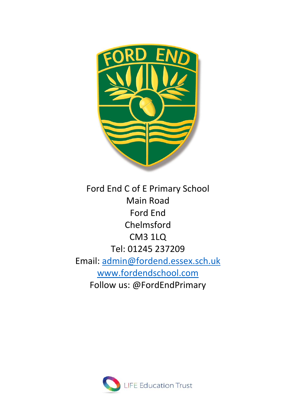

Ford End C of E Primary School Main Road Ford End Chelmsford CM3 1LQ Tel: 01245 237209 Email: [admin@fordend.essex.sch.uk](mailto:admin@fordend.essex.sch.uk) [www.fordendschool.com](http://www.fordendschool.com/) Follow us: @FordEndPrimary

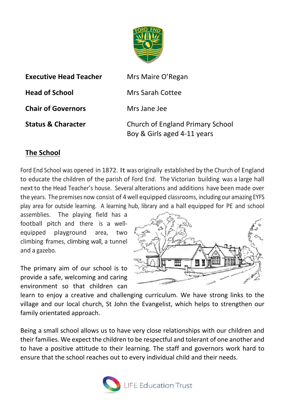

| <b>Executive Head Teacher</b> | Mrs Maire O'Regan                                               |
|-------------------------------|-----------------------------------------------------------------|
| <b>Head of School</b>         | Mrs Sarah Cottee                                                |
| <b>Chair of Governors</b>     | Mrs Jane Jee                                                    |
| <b>Status &amp; Character</b> | Church of England Primary School<br>Boy & Girls aged 4-11 years |

#### **The School**

Ford End School was opened in 1872. It was originally established by the Church of England to educate the children of the parish of Ford End. The Victorian building was a large hall nextto the Head Teacher's house. Several alterations and additions have been made over the years. The premises now consist of 4 well equipped classrooms, including our amazing EYFS play area for outside learning. A learning hub, library and a hall equipped for PE and school

assemblies. The playing field has a football pitch and there is a wellequipped playground area, two climbing frames, climbing wall, a tunnel and a gazebo.

The primary aim of our school is to provide a safe, welcoming and caring environment so that children can



learn to enjoy a creative and challenging curriculum. We have strong links to the village and our local church, St John the Evangelist, which helps to strengthen our family orientated approach.

Being a small school allows us to have very close relationships with our children and their families. We expect the children to be respectful and tolerant of one another and to have a positive attitude to their learning. The staff and governors work hard to ensure that the school reaches out to every individual child and their needs.

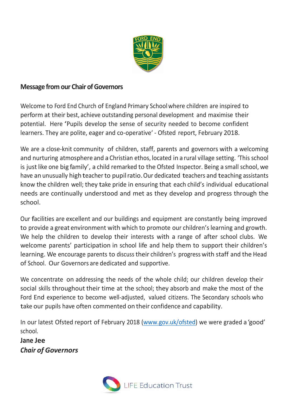

#### **Message from our Chair of Governors**

Welcome to Ford End Church of England Primary Schoolwhere children are inspired to perform at their best, achieve outstanding personal development and maximise their potential. Here 'Pupils develop the sense of security needed to become confident learners. They are polite, eager and co-operative' - Ofsted report, February 2018.

We are a close-knit community of children, staff, parents and governors with a welcoming and nurturing atmosphere and a Christian ethos, located in a rural village setting. 'This school is just like one big family', a child remarked to the Ofsted Inspector. Being a small school, we have an unusually high teacher to pupilratio.Our dedicated teachers and teaching assistants know the children well; they take pride in ensuring that each child's individual educational needs are continually understood and met as they develop and progress through the school.

Our facilities are excellent and our buildings and equipment are constantly being improved to provide a great environment with which to promote our children's learning and growth. We help the children to develop their interests with a range of after school clubs. We welcome parents' participation in school life and help them to support their children's learning. We encourage parents to discuss their children's progress with staff and the Head of School. Our Governors are dedicated and supportive.

We concentrate on addressing the needs of the whole child; our children develop their social skills throughout their time at the school; they absorb and make the most of the Ford End experience to become well-adjusted, valued citizens. The Secondary schools who take our pupils have often commented on their confidence and capability.

In our latest Ofsted report of February 2018 [\(www.gov.uk/ofsted\)](http://www.gov.uk/ofsted) we were graded a 'good' school.

**Jane Jee** *Chair of Governors*

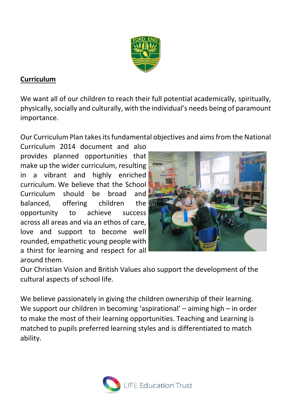

# **Curriculum**

We want all of our children to reach their full potential academically, spiritually, physically, socially and culturally, with the individual's needs being of paramount importance.

Our Curriculum Plan takes its fundamental objectives and aims from the National

Curriculum 2014 document and also provides planned opportunities that make up the wider curriculum, resulting in a vibrant and highly enriched curriculum. We believe that the School Curriculum should be broad and balanced, offering children the opportunity to achieve success across all areas and via an ethos of care, love and support to become well rounded, empathetic young people with a thirst for learning and respect for all around them.



Our Christian Vision and British Values also support the development of the cultural aspects of school life.

We believe passionately in giving the children ownership of their learning. We support our children in becoming 'aspirational' – aiming high – in order to make the most of their learning opportunities. Teaching and Learning is matched to pupils preferred learning styles and is differentiated to match ability.

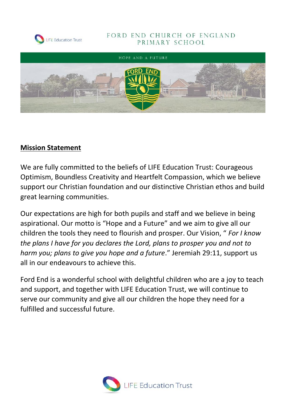

#### FORD END CHURCH OF ENGLAND PRIMARY SCHOOL



#### **Mission Statement**

We are fully committed to the beliefs of LIFE Education Trust: Courageous Optimism, Boundless Creativity and Heartfelt Compassion, which we believe support our Christian foundation and our distinctive Christian ethos and build great learning communities.

Our expectations are high for both pupils and staff and we believe in being aspirational. Our motto is "Hope and a Future" and we aim to give all our children the tools they need to flourish and prosper. Our Vision, " *For I know the plans I have for you declares the Lord, plans to prosper you and not to harm you; plans to give you hope and a future*." Jeremiah 29:11, support us all in our endeavours to achieve this.

Ford End is a wonderful school with delightful children who are a joy to teach and support, and together with LIFE Education Trust, we will continue to serve our community and give all our children the hope they need for a fulfilled and successful future.

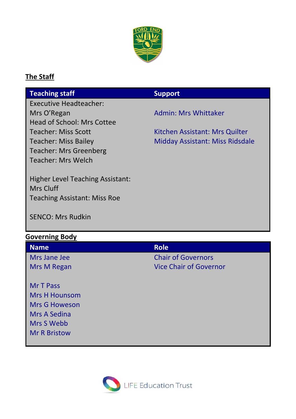

## **The Staff**

| <b>Teaching staff</b>               | <b>Support</b>                  |
|-------------------------------------|---------------------------------|
| <b>Executive Headteacher:</b>       |                                 |
| Mrs O'Regan                         | Admin: Mrs Whittaker            |
| Head of School: Mrs Cottee          |                                 |
| <b>Teacher: Miss Scott</b>          | Kitchen Assistant: Mrs Quilter  |
| <b>Teacher: Miss Bailey</b>         | Midday Assistant: Miss Ridsdale |
| <b>Teacher: Mrs Greenberg</b>       |                                 |
| <b>Teacher: Mrs Welch</b>           |                                 |
|                                     |                                 |
| Higher Level Teaching Assistant:    |                                 |
| Mrs Cluff                           |                                 |
| <b>Teaching Assistant: Miss Roe</b> |                                 |
|                                     |                                 |
| <b>SENCO: Mrs Rudkin</b>            |                                 |
|                                     |                                 |
| <b>Governing Body</b>               |                                 |
| <b>Name</b>                         | <b>Role</b>                     |
| Mrs Jane Jee                        | <b>Chair of Governors</b>       |
| Mrs M Regan                         | <b>Vice Chair of Governor</b>   |

Mr T Pass Mrs H Hounsom Mrs G Howeson Mrs A Sedina Mrs S Webb Mr R Bristow

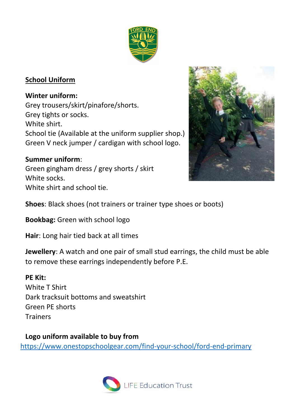

# **School Uniform**

#### **Winter uniform:**

Grey trousers/skirt/pinafore/shorts. Grey tights or socks. White shirt. School tie (Available at the uniform supplier shop.) Green V neck jumper / cardigan with school logo.

### **Summer uniform**:

Green gingham dress / grey shorts / skirt White socks. White shirt and school tie.



**Shoes**: Black shoes (not trainers or trainer type shoes or boots)

**Bookbag:** Green with school logo

**Hair**: Long hair tied back at all times

**Jewellery**: A watch and one pair of small stud earrings, the child must be able to remove these earrings independently before P.E.

### **PE Kit:**

White T Shirt Dark tracksuit bottoms and sweatshirt Green PE shorts **Trainers** 

**Logo uniform available to buy from**  <https://www.onestopschoolgear.com/find-your-school/ford-end-primary>

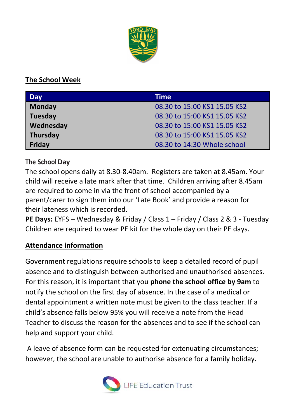

# **The School Week**

| Day             | <b>Time</b>                  |
|-----------------|------------------------------|
| <b>Monday</b>   | 08.30 to 15:00 KS1 15.05 KS2 |
| Tuesday         | 08.30 to 15:00 KS1 15.05 KS2 |
| Wednesday       | 08.30 to 15:00 KS1 15.05 KS2 |
| <b>Thursday</b> | 08.30 to 15:00 KS1 15.05 KS2 |
| Friday          | 08.30 to 14:30 Whole school  |

**The SchoolDay**

The school opens daily at 8.30-8.40am. Registers are taken at 8.45am. Your child will receive a late mark after that time. Children arriving after 8.45am are required to come in via the front of school accompanied by a parent/carer to sign them into our 'Late Book' and provide a reason for their lateness which is recorded.

**PE Days:** EYFS – Wednesday & Friday / Class 1 – Friday / Class 2 & 3 - Tuesday Children are required to wear PE kit for the whole day on their PE days.

# **Attendance information**

Government regulations require schools to keep a detailed record of pupil absence and to distinguish between authorised and unauthorised absences. For this reason, it is important that you **phone the school office by 9am** to notify the school on the first day of absence. In the case of a medical or dental appointment a written note must be given to the class teacher. If a child's absence falls below 95% you will receive a note from the Head Teacher to discuss the reason for the absences and to see if the school can help and support your child.

A leave of absence form can be requested for extenuating circumstances; however, the school are unable to authorise absence for a family holiday.

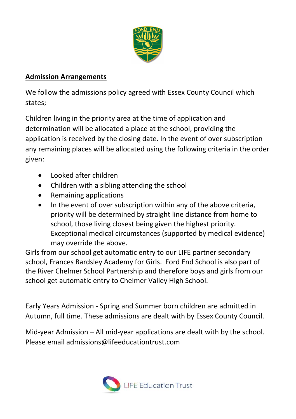

### **Admission Arrangements**

We follow the admissions policy agreed with Essex County Council which states;

Children living in the priority area at the time of application and determination will be allocated a place at the school, providing the application is received by the closing date. In the event of over subscription any remaining places will be allocated using the following criteria in the order given:

- Looked after children
- Children with a sibling attending the school
- Remaining applications
- In the event of over subscription within any of the above criteria, priority will be determined by straight line distance from home to school, those living closest being given the highest priority. Exceptional medical circumstances (supported by medical evidence) may override the above.

Girls from our school get automatic entry to our LIFE partner secondary school, Frances Bardsley Academy for Girls. Ford End School is also part of the River Chelmer School Partnership and therefore boys and girls from our school get automatic entry to Chelmer Valley High School.

Early Years Admission - Spring and Summer born children are admitted in Autumn, full time. These admissions are dealt with by Essex County Council.

Mid-year Admission – All mid-year applications are dealt with by the school. Please email admissions@lifeeducationtrust.com

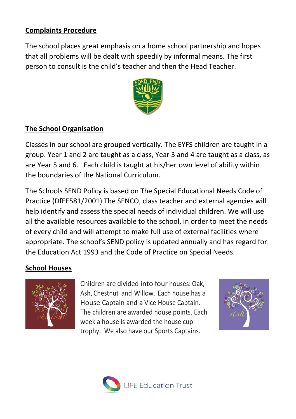## **Complaints Procedure**

The school places great emphasis on a home school partnership and hopes that all problems will be dealt with speedily by informal means. The first person to consult is the child's teacher and then the Head Teacher.



#### **The School Organisation**

Classes in our school are grouped vertically. The EYFS children are taught in a group. Year 1 and 2 are taught as a class, Year 3 and 4 are taught as a class, as are Year 5 and 6. Each child is taught at his/her own level of ability within the boundaries of the National Curriculum.

The Schools SEND Policy is based on The Special Educational Needs Code of Practice (DfEE581/2001) The SENCO, class teacher and external agencies will help identify and assess the special needs of individual children. We will use all the available resources available to the school, in order to meet the needs of every child and will attempt to make full use of external facilities where appropriate. The school's SEND policy is updated annually and has regard for the Education Act 1993 and the Code of Practice on Special Needs.

#### **School Houses**



Children are divided into four houses: Oak, Ash, Chestnut and Willow. Each house has a House Captain and a Vice House Captain. The children are awarded house points. Each week a house is awarded the house cup trophy. We also have our Sports Captains.



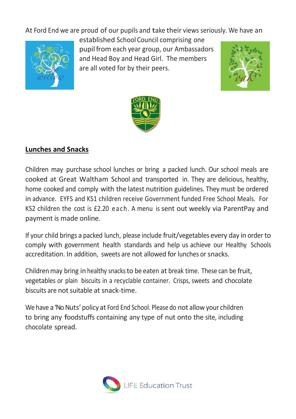At Ford End we are proud of our pupils and take their views seriously. We have an



established School Council comprising one pupilfrom each year group, our Ambassadors and Head Boy and Head Girl. The members are all voted for by their peers.





### **Lunches and Snacks**

Children may purchase school lunches or bring a packed lunch. Our school meals are cooked at Great Waltham School and transported in. They are delicious, healthy, home cooked and comply with the latest nutrition guidelines. They must be ordered in advance. EYFS and KS1 children receive Government funded Free School Meals. For KS2 children the cost is £2.20 each. A menu is sent out weekly via ParentPay and payment is made online.

If your child brings a packed lunch, please include fruit/vegetables every day in order to comply with government health standards and help us achieve our Healthy Schools accreditation. In addition, sweets are not allowed for lunches orsnacks.

Children may bring in healthy snacks to be eaten at break time. These can be fruit, vegetables or plain biscuits in a recyclable container. Crisps, sweets and chocolate biscuits are not suitable at snack-time.

We have a 'No Nuts' policy at Ford End School. Please do not allow your children to bring any foodstuffs containing any type of nut onto the site, including chocolate spread.

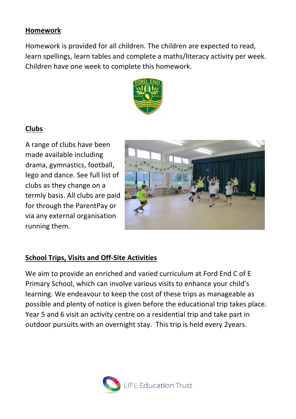#### **Homework**

Homework is provided for all children. The children are expected to read, learn spellings, learn tables and complete a maths/literacy activity per week. Children have one week to complete this homework.



# **Clubs**

A range of clubs have been made available including drama, gymnastics, football, lego and dance. See full list of clubs as they change on a termly basis. All clubs are paid for through the ParentPay or via any external organisation running them.



### **School Trips, Visits and Off-Site Activities**

We aim to provide an enriched and varied curriculum at Ford End C of E Primary School, which can involve various visits to enhance your child's learning. We endeavour to keep the cost of these trips as manageable as possible and plenty of notice is given before the educational trip takes place. Year 5 and 6 visit an activity centre on a residential trip and take part in outdoor pursuits with an overnight stay. This trip is held every 2years.

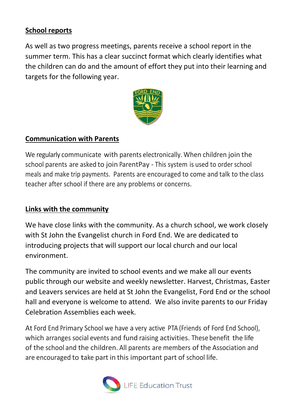### **School reports**

As well as two progress meetings, parents receive a school report in the summer term. This has a clear succinct format which clearly identifies what the children can do and the amount of effort they put into their learning and targets for the following year.



### **Communication with Parents**

We regularly communicate with parents electronically. When children join the school parents are asked to join ParentPay - This system is used to order school meals and make trip payments. Parents are encouraged to come and talk to the class teacher after school if there are any problems or concerns.

#### **Links with the community**

We have close links with the community. As a church school, we work closely with St John the Evangelist church in Ford End. We are dedicated to introducing projects that will support our local church and our local environment.

The community are invited to school events and we make all our events public through our website and weekly newsletter. Harvest, Christmas, Easter and Leavers services are held at St John the Evangelist, Ford End or the school hall and everyone is welcome to attend. We also invite parents to our Friday Celebration Assemblies each week.

At Ford End Primary School we have a very active PTA (Friends of Ford End School), which arranges social events and fund raising activities. These benefit the life of the school and the children. All parents are members of the Association and are encouraged to take part in this important part of school life.